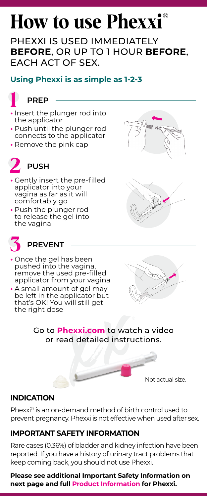# **How to use Phexxi®**

PHEXXI IS USED IMMEDIATELY **BEFORE**, OR UP TO 1 HOUR **BEFORE**, EACH ACT OF SEX.

### **Using Phexxi is as simple as 1-2-3**



- **•** Insert the plunger rod into the applicator
- **•** Push until the plunger rod connects to the applicator
- **•** Remove the pink cap



## **2 PUSH**

- **•** Gently insert the pre-filled applicator into your vagina as far as it will comfortably go
- **•** Push the plunger rod to release the gel into the vagina



## **3 PREVENT**

- **•** Once the gel has been pushed into the vagina, remove the used pre-filled applicator from your vagina
- **•** A small amount of gel may be left in the applicator but that's OK! You will still get the right dose



Go to **[Phexxi.com](http://www.Phexxi.com)** to watch a video or read detailed instructions.

Not actual size.

#### **INDICATION**

Phexxi® is an on-demand method of birth control used to prevent pregnancy. Phexxi is not effective when used after sex.

#### **IMPORTANT SAFETY INFORMATION**

Rare cases (0.36%) of bladder and kidney infection have been reported. If you have a history of urinary tract problems that keep coming back, you should not use Phexxi.

#### **Please see additional Important Safety Information on next page and full [Product Information](https://phexxi.com/pdf/PhexxiUSPI.pdf) for Phexxi.**